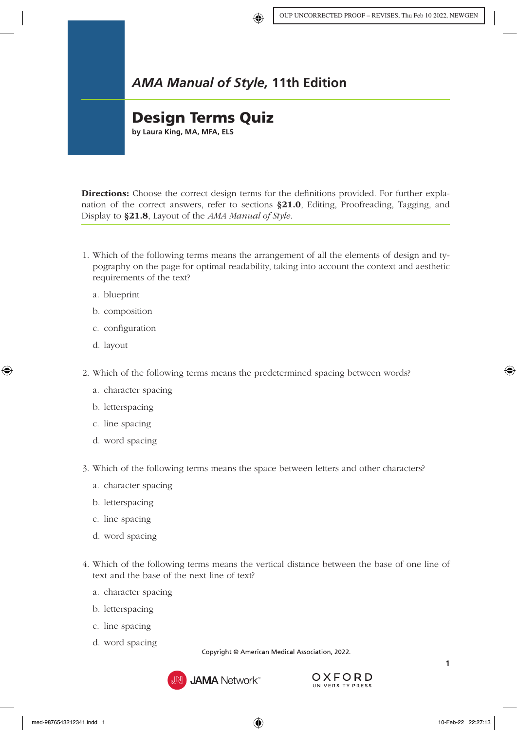## *AMA Manual of Style,* **11th Edition**

## Design Terms Quiz

**by Laura King, MA, MFA, ELS**

Directions: Choose the correct design terms for the definitions provided. For further explanation of the correct answers, refer to sections §21.0[, Editing, Proofreading, Tagging, and](https://www.amamanualofstyle.com/view/10.1093/jama/9780190246556.001.0001/med-9780190246556-chapter-21)  [Display](https://www.amamanualofstyle.com/view/10.1093/jama/9780190246556.001.0001/med-9780190246556-chapter-21) to §21.8[, Layout](https://www.amamanualofstyle.com/view/10.1093/jama/9780190246556.001.0001/med-9780190246556-chapter-21-div1-8#) of the *AMA Manual of Style.*

- 1. Which of the following terms means the arrangement of all the elements of design and typography on the page for optimal readability, taking into account the context and aesthetic requirements of the text?
	- a. blueprint
	- b. composition
	- c. configuration
	- d. layout
- 2. Which of the following terms means the predetermined spacing between words?
	- a. character spacing
	- b. letterspacing
	- c. line spacing
	- d. word spacing
- 3. Which of the following terms means the space between letters and other characters?
	- a. character spacing
	- b. letterspacing
	- c. line spacing
	- d. word spacing
- 4. Which of the following terms means the vertical distance between the base of one line of text and the base of the next line of text?
	- a. character spacing
	- b. letterspacing
	- c. line spacing
	- d. word spacing

Copyright © American Medical Association, 2022.



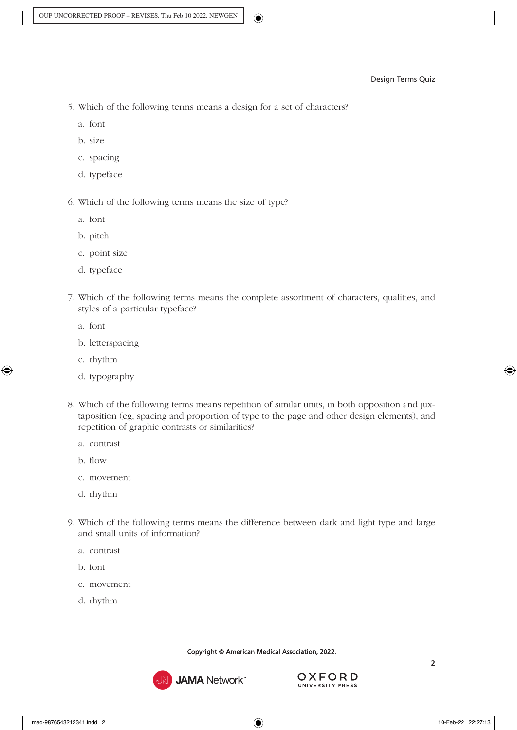- 5. Which of the following terms means a design for a set of characters?
	- a. font
	- b. size
	- c. spacing
	- d. typeface
- 6. Which of the following terms means the size of type?
	- a. font
	- b. pitch
	- c. point size
	- d. typeface
- 7. Which of the following terms means the complete assortment of characters, qualities, and styles of a particular typeface?
	- a. font
	- b. letterspacing
	- c. rhythm
	- d. typography
- 8. Which of the following terms means repetition of similar units, in both opposition and juxtaposition (eg, spacing and proportion of type to the page and other design elements), and repetition of graphic contrasts or similarities?
	- a. contrast
	- b. flow
	- c. movement
	- d. rhythm
- 9. Which of the following terms means the difference between dark and light type and large and small units of information?
	- a. contrast
	- b. font
	- c. movement
	- d. rhythm

Copyright © American Medical Association, 2022.